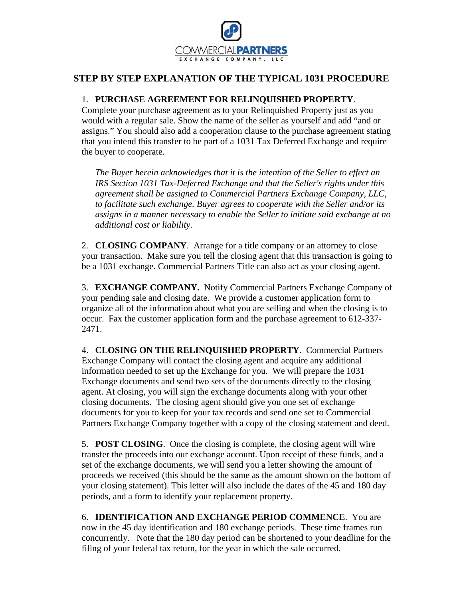

## **STEP BY STEP EXPLANATION OF THE TYPICAL 1031 PROCEDURE**

## 1. **PURCHASE AGREEMENT FOR RELINQUISHED PROPERTY**.

Complete your purchase agreement as to your Relinquished Property just as you would with a regular sale. Show the name of the seller as yourself and add "and or assigns." You should also add a cooperation clause to the purchase agreement stating that you intend this transfer to be part of a 1031 Tax Deferred Exchange and require the buyer to cooperate.

*The Buyer herein acknowledges that it is the intention of the Seller to effect an IRS Section 1031 Tax-Deferred Exchange and that the Seller's rights under this agreement shall be assigned to Commercial Partners Exchange Company, LLC, to facilitate such exchange. Buyer agrees to cooperate with the Seller and/or its assigns in a manner necessary to enable the Seller to initiate said exchange at no additional cost or liability.* 

2. **CLOSING COMPANY**. Arrange for a title company or an attorney to close your transaction. Make sure you tell the closing agent that this transaction is going to be a 1031 exchange. Commercial Partners Title can also act as your closing agent.

3. **EXCHANGE COMPANY.** Notify Commercial Partners Exchange Company of your pending sale and closing date. We provide a customer application form to organize all of the information about what you are selling and when the closing is to occur. Fax the customer application form and the purchase agreement to 612-337- 2471.

4. **CLOSING ON THE RELINQUISHED PROPERTY**. Commercial Partners Exchange Company will contact the closing agent and acquire any additional information needed to set up the Exchange for you. We will prepare the 1031 Exchange documents and send two sets of the documents directly to the closing agent. At closing, you will sign the exchange documents along with your other closing documents. The closing agent should give you one set of exchange documents for you to keep for your tax records and send one set to Commercial Partners Exchange Company together with a copy of the closing statement and deed.

5. **POST CLOSING**. Once the closing is complete, the closing agent will wire transfer the proceeds into our exchange account. Upon receipt of these funds, and a set of the exchange documents, we will send you a letter showing the amount of proceeds we received (this should be the same as the amount shown on the bottom of your closing statement). This letter will also include the dates of the 45 and 180 day periods, and a form to identify your replacement property.

6. **IDENTIFICATION AND EXCHANGE PERIOD COMMENCE**. You are now in the 45 day identification and 180 exchange periods. These time frames run concurrently. Note that the 180 day period can be shortened to your deadline for the filing of your federal tax return, for the year in which the sale occurred.